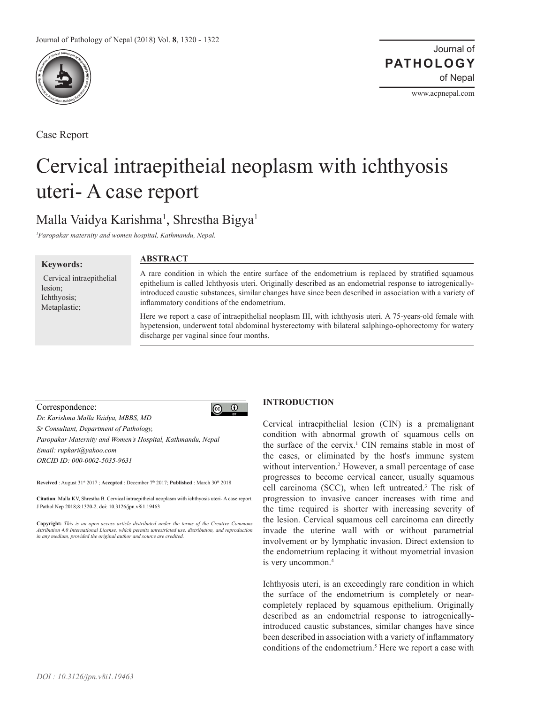

Case Report

Journal of of Nepal **PATHOLOGY**

www.acpnepal.com

# Cervical intraepitheial neoplasm with ichthyosis uteri- A case report

# Malla Vaidya Karishma<sup>1</sup>, Shrestha Bigya<sup>1</sup>

*1 Paropakar maternity and women hospital, Kathmandu, Nepal.* 

#### **Keywords:**

 Cervical intraepithelial lesion; Ichthyosis; Metaplastic;

# **ABSTRACT**

A rare condition in which the entire surface of the endometrium is replaced by stratified squamous epithelium is called Ichthyosis uteri. Originally described as an endometrial response to iatrogenicallyintroduced caustic substances, similar changes have since been described in association with a variety of inflammatory conditions of the endometrium.

Here we report a case of intraepithelial neoplasm III, with ichthyosis uteri. A 75-years-old female with hypetension, underwent total abdominal hysterectomy with bilateral salphingo-ophorectomy for watery discharge per vaginal since four months.

## Correspondence:

 $\boxed{6}$   $\boxed{0}$ *Dr. Karishma Malla Vaidya, MBBS, MD Sr Consultant, Department of Pathology, Paropakar Maternity and Women's Hospital, Kathmandu, Nepal Email: rupkari@yahoo.com ORCID ID: 000-0002-5035-9631*

**Reveived** : August 31st 2017 ; **Accepted** : December 7th 2017; **Published** : March 30th 2018

**Citation**: Malla KV, Shrestha B. Cervical intraepitheial neoplasm with ichthyosis uteri- A case report. J Pathol Nep 2018;8:1320-2. doi: 10.3126/jpn.v8i1.19463

**Copyright:** *This is an open-access article distributed under the terms of the Creative Commons Attribution 4.0 International License, which permits unrestricted use, distribution, and reproduction in any medium, provided the original author and source are credited.*

# **INTRODUCTION**

Cervical intraepithelial lesion (CIN) is a premalignant condition with abnormal growth of squamous cells on the surface of the cervix.<sup>1</sup> CIN remains stable in most of the cases, or eliminated by the host's immune system without intervention.<sup>2</sup> However, a small percentage of case progresses to become cervical cancer, usually squamous cell carcinoma (SCC), when left untreated.3 The risk of progression to invasive cancer increases with time and the time required is shorter with increasing severity of the lesion. Cervical squamous cell carcinoma can directly invade the uterine wall with or without parametrial involvement or by lymphatic invasion. Direct extension to the endometrium replacing it without myometrial invasion is very uncommon.4

Ichthyosis uteri, is an exceedingly rare condition in which the surface of the endometrium is completely or nearcompletely replaced by squamous epithelium. Originally described as an endometrial response to iatrogenicallyintroduced caustic substances, similar changes have since been described in association with a variety of inflammatory conditions of the endometrium.<sup>5</sup> Here we report a case with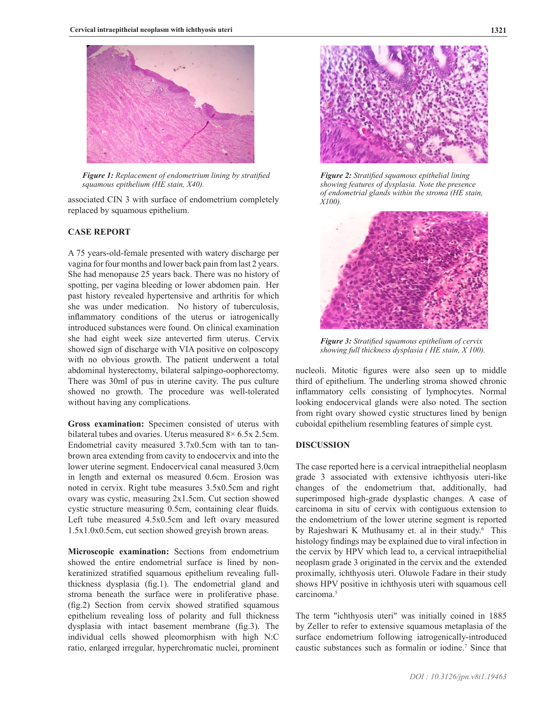

*Figure 1: Replacement of endometrium lining by stratified squamous epithelium (HE stain, X40).* 

associated CIN 3 with surface of endometrium completely replaced by squamous epithelium.

## **CASE REPORT**

A 75 years-old-female presented with watery discharge per vagina for four months and lower back pain from last 2 years. She had menopause 25 years back. There was no history of spotting, per vagina bleeding or lower abdomen pain. Her past history revealed hypertensive and arthritis for which she was under medication. No history of tuberculosis, inflammatory conditions of the uterus or iatrogenically introduced substances were found. On clinical examination she had eight week size anteverted firm uterus. Cervix showed sign of discharge with VIA positive on colposcopy with no obvious growth. The patient underwent a total abdominal hysterectomy, bilateral salpingo-oophorectomy. There was 30ml of pus in uterine cavity. The pus culture showed no growth. The procedure was well-tolerated without having any complications.

**Gross examination:** Specimen consisted of uterus with bilateral tubes and ovaries. Uterus measured 8× 6.5x 2.5cm. Endometrial cavity measured 3.7x0.5cm with tan to tanbrown area extending from cavity to endocervix and into the lower uterine segment. Endocervical canal measured 3.0cm in length and external os measured 0.6cm. Erosion was noted in cervix. Right tube measures 3.5x0.5cm and right ovary was cystic, measuring 2x1.5cm. Cut section showed cystic structure measuring 0.5cm, containing clear fluids. Left tube measured 4.5x0.5cm and left ovary measured 1.5x1.0x0.5cm, cut section showed greyish brown areas.

**Microscopic examination:** Sections from endometrium showed the entire endometrial surface is lined by nonkeratinized stratified squamous epithelium revealing fullthickness dysplasia (fig.1). The endometrial gland and stroma beneath the surface were in proliferative phase. (fig.2) Section from cervix showed stratified squamous epithelium revealing loss of polarity and full thickness dysplasia with intact basement membrane (fig.3). The individual cells showed pleomorphism with high N:C ratio, enlarged irregular, hyperchromatic nuclei, prominent



*Figure 2: Stratified squamous epithelial lining showing features of dysplasia. Note the presence of endometrial glands within the stroma (HE stain, X100).* 



*Figure 3: Stratified squamous epithelium of cervix showing full thickness dysplasia ( HE stain, X 100).* 

nucleoli. Mitotic figures were also seen up to middle third of epithelium. The underling stroma showed chronic inflammatory cells consisting of lymphocytes. Normal looking endocervical glands were also noted. The section from right ovary showed cystic structures lined by benign cuboidal epithelium resembling features of simple cyst.

# **DISCUSSION**

The case reported here is a cervical intraepithelial neoplasm grade 3 associated with extensive ichthyosis uteri-like changes of the endometrium that, additionally, had superimposed high-grade dysplastic changes. A case of carcinoma in situ of cervix with contiguous extension to the endometrium of the lower uterine segment is reported by Rajeshwari K Muthusamy et. al in their study.<sup>6</sup> This histology findings may be explained due to viral infection in the cervix by HPV which lead to, a cervical intraepithelial neoplasm grade 3 originated in the cervix and the extended proximally, ichthyosis uteri. Oluwole Fadare in their study shows HPV positive in ichthyosis uteri with squamous cell carcinoma.5

The term "ichthyosis uteri" was initially coined in 1885 by Zeller to refer to extensive squamous metaplasia of the surface endometrium following iatrogenically-introduced caustic substances such as formalin or iodine.7 Since that